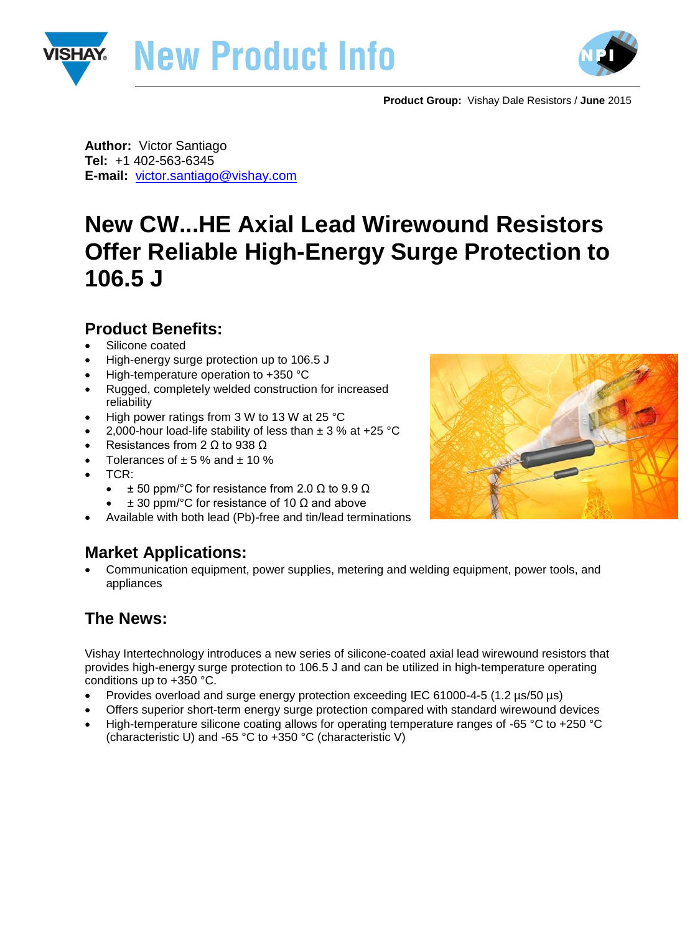



**Product Group:** Vishay Dale Resistors / **June** 2015

**Author:** Victor Santiago **Tel:** +1 402-563-6345 **E-mail:** [victor.santiago@vishay.com](mailto:victor.santiago@vishay.com)

# **New CW...HE Axial Lead Wirewound Resistors Offer Reliable High-Energy Surge Protection to 106.5 J**

### **Product Benefits:**

- Silicone coated
- High-energy surge protection up to 106.5 J
- High-temperature operation to +350 °C
- Rugged, completely welded construction for increased reliability
- High power ratings from 3 W to 13 W at 25 °C
- 2,000-hour load-life stability of less than  $\pm$  3 % at +25 °C
- Resistances from 2  $\Omega$  to 938  $\Omega$
- Tolerances of  $\pm$  5 % and  $\pm$  10 %
- TCR:
	- $\pm$  50 ppm/°C for resistance from 2.0  $\Omega$  to 9.9  $\Omega$
	- $\pm$  30 ppm/°C for resistance of 10  $\Omega$  and above
- Available with both lead (Pb)-free and tin/lead terminations

## **Market Applications:**

 Communication equipment, power supplies, metering and welding equipment, power tools, and appliances

## **The News:**

Vishay Intertechnology introduces a new series of silicone-coated axial lead wirewound resistors that provides high-energy surge protection to 106.5 J and can be utilized in high-temperature operating conditions up to +350 °C.

- Provides overload and surge energy protection exceeding IEC 61000-4-5 (1.2 µs/50 µs)
- Offers superior short-term energy surge protection compared with standard wirewound devices
- High-temperature silicone coating allows for operating temperature ranges of -65 °C to +250 °C (characteristic U) and -65 °C to +350 °C (characteristic V)